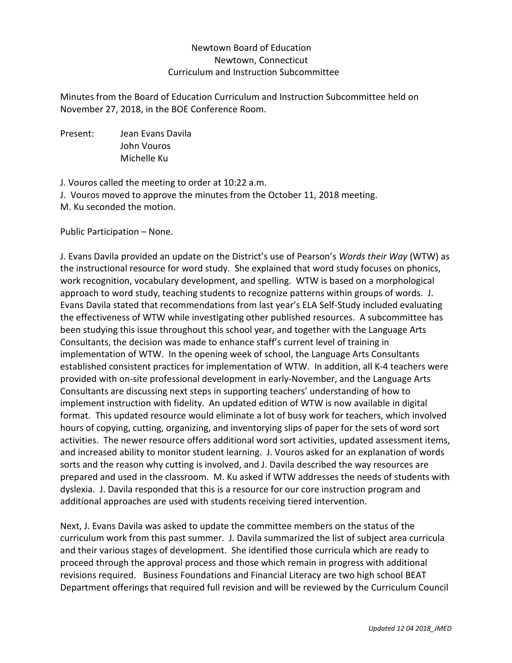## Newtown Board of Education Newtown, Connecticut Curriculum and Instruction Subcommittee

Minutes from the Board of Education Curriculum and Instruction Subcommittee held on November 27, 2018, in the BOE Conference Room.

Present: Jean Evans Davila John Vouros Michelle Ku

J. Vouros called the meeting to order at 10:22 a.m.

J. Vouros moved to approve the minutes from the October 11, 2018 meeting.

M. Ku seconded the motion.

Public Participation – None.

J. Evans Davila provided an update on the District's use of Pearson's *Words their Way* (WTW) as the instructional resource for word study. She explained that word study focuses on phonics, work recognition, vocabulary development, and spelling. WTW is based on a morphological approach to word study, teaching students to recognize patterns within groups of words. J. Evans Davila stated that recommendations from last year's ELA Self-Study included evaluating the effectiveness of WTW while investigating other published resources. A subcommittee has been studying this issue throughout this school year, and together with the Language Arts Consultants, the decision was made to enhance staff's current level of training in implementation of WTW. In the opening week of school, the Language Arts Consultants established consistent practices for implementation of WTW. In addition, all K-4 teachers were provided with on-site professional development in early-November, and the Language Arts Consultants are discussing next steps in supporting teachers' understanding of how to implement instruction with fidelity. An updated edition of WTW is now available in digital format. This updated resource would eliminate a lot of busy work for teachers, which involved hours of copying, cutting, organizing, and inventorying slips of paper for the sets of word sort activities. The newer resource offers additional word sort activities, updated assessment items, and increased ability to monitor student learning. J. Vouros asked for an explanation of words sorts and the reason why cutting is involved, and J. Davila described the way resources are prepared and used in the classroom. M. Ku asked if WTW addresses the needs of students with dyslexia. J. Davila responded that this is a resource for our core instruction program and additional approaches are used with students receiving tiered intervention.

Next, J. Evans Davila was asked to update the committee members on the status of the curriculum work from this past summer. J. Davila summarized the list of subject area curricula and their various stages of development. She identified those curricula which are ready to proceed through the approval process and those which remain in progress with additional revisions required. Business Foundations and Financial Literacy are two high school BEAT Department offerings that required full revision and will be reviewed by the Curriculum Council